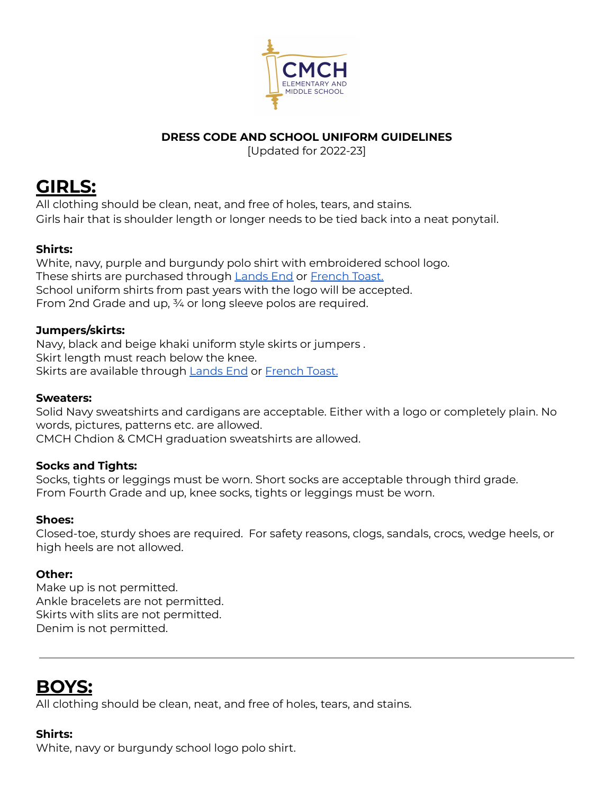

## **DRESS CODE AND SCHOOL UNIFORM GUIDELINES**

[Updated for 2022-23]

# **GIRLS:**

All clothing should be clean, neat, and free of holes, tears, and stains. Girls hair that is shoulder length or longer needs to be tied back into a neat ponytail.

## **Shirts:**

White, navy, purple and burgundy polo shirt with embroidered school logo. These shirts are purchased through [Lands](https://www.landsend.com/co/account/school-uniforms?selectedSchoolNum=900190836) End or [French](https://www.frenchtoast.com/schoolbox/schools/CMCH-Elementary-Inc.-QS5BHQS) Toast. School uniform shirts from past years with the logo will be accepted. From 2nd Grade and up, ¾ or long sleeve polos are required.

#### **Jumpers/skirts:**

Navy, black and beige khaki uniform style skirts or jumpers . Skirt length must reach below the knee. Skirts are available through [Lands](https://www.landsend.com/co/account/school-uniforms?selectedSchoolNum=900190836) End or [French](https://www.frenchtoast.com/schoolbox/schools/CMCH-Elementary-Inc.-QS5BHQS) Toast.

#### **Sweaters:**

Solid Navy sweatshirts and cardigans are acceptable. Either with a logo or completely plain. No words, pictures, patterns etc. are allowed. CMCH Chdion & CMCH graduation sweatshirts are allowed.

## **Socks and Tights:**

Socks, tights or leggings must be worn. Short socks are acceptable through third grade. From Fourth Grade and up, knee socks, tights or leggings must be worn.

## **Shoes:**

Closed-toe, sturdy shoes are required. For safety reasons, clogs, sandals, crocs, wedge heels, or high heels are not allowed.

## **Other:**

Make up is not permitted. Ankle bracelets are not permitted. Skirts with slits are not permitted. Denim is not permitted.

## **BOYS:**

All clothing should be clean, neat, and free of holes, tears, and stains.

## **Shirts:**

White, navy or burgundy school logo polo shirt.